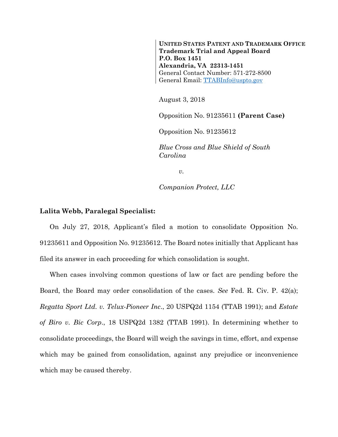**UNITED STATES PATENT AND TRADEMARK OFFICE Trademark Trial and Appeal Board P.O. Box 1451 Alexandria, VA 22313-1451**  General Contact Number: 571-272-8500 General Email: TTABInfo@uspto.gov

August 3, 2018

Opposition No. 91235611 **(Parent Case)** 

Opposition No. 91235612

*Blue Cross and Blue Shield of South Carolina* 

 $v_{\rm}$ 

*Companion Protect, LLC* 

## **Lalita Webb, Paralegal Specialist:**

On July 27, 2018, Applicant's filed a motion to consolidate Opposition No. 91235611 and Opposition No. 91235612. The Board notes initially that Applicant has filed its answer in each proceeding for which consolidation is sought.

When cases involving common questions of law or fact are pending before the Board, the Board may order consolidation of the cases. *See* Fed. R. Civ. P. 42(a); *Regatta Sport Ltd. v. Telux-Pioneer Inc*., 20 USPQ2d 1154 (TTAB 1991); and *Estate of Biro v. Bic Corp*., 18 USPQ2d 1382 (TTAB 1991). In determining whether to consolidate proceedings, the Board will weigh the savings in time, effort, and expense which may be gained from consolidation, against any prejudice or inconvenience which may be caused thereby.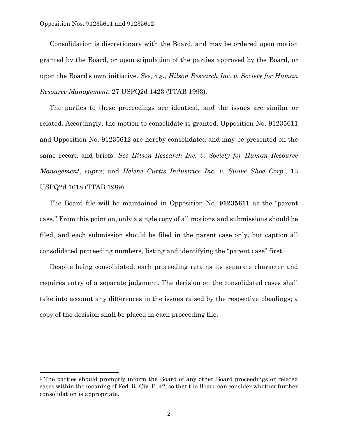Opposition Nos. 91235611 and 91235612

l

Consolidation is discretionary with the Board, and may be ordered upon motion granted by the Board, or upon stipulation of the parties approved by the Board, or upon the Board's own initiative. *See, e.g.*, *Hilson Research Inc. v. Society for Human Resource Management*, 27 USPQ2d 1423 (TTAB 1993).

The parties to these proceedings are identical, and the issues are similar or related. Accordingly, the motion to consolidate is granted. Opposition No. 91235611 and Opposition No. 91235612 are hereby consolidated and may be presented on the same record and briefs. *See Hilson Research Inc. v. Society for Human Resource Management*, *supra*; and *Helene Curtis Industries Inc. v. Suave Shoe Corp.*, 13 USPQ2d 1618 (TTAB 1989).

The Board file will be maintained in Opposition No. **91235611** as the "parent case." From this point on, only a single copy of all motions and submissions should be filed, and each submission should be filed in the parent case only, but caption all consolidated proceeding numbers, listing and identifying the "parent case" first.1

Despite being consolidated, each proceeding retains its separate character and requires entry of a separate judgment. The decision on the consolidated cases shall take into account any differences in the issues raised by the respective pleadings; a copy of the decision shall be placed in each proceeding file.

<sup>&</sup>lt;sup>1</sup> The parties should promptly inform the Board of any other Board proceedings or related cases within the meaning of Fed. R. Civ. P. 42, so that the Board can consider whether further consolidation is appropriate.